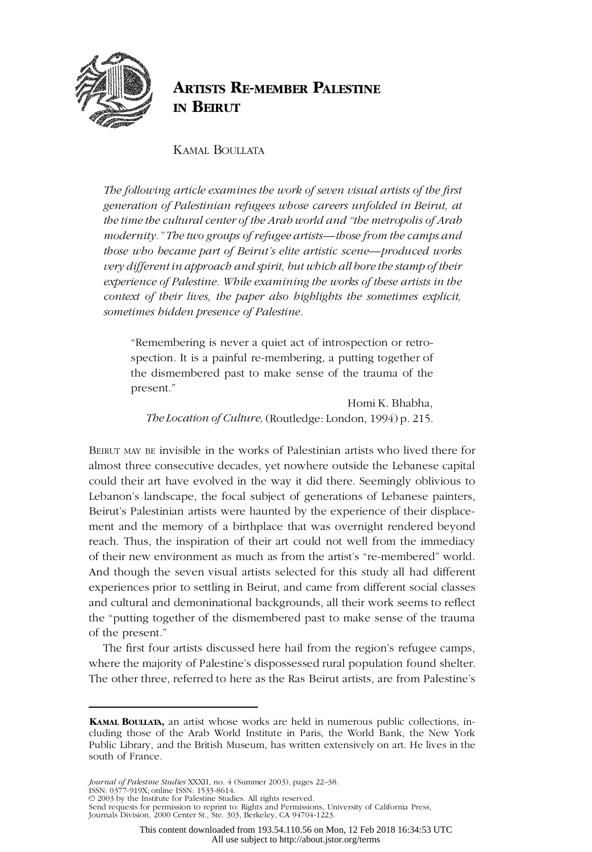

# **ARTISTS RE-MEMBER PALESTINE IN BEIRUT**

# KAMAL BOULLATA

*The following article examines the work of seven visual artists of the rst generation of Palestinian refugees whose careers unfolded in Beirut, at the time the cultural center of the Arab world and "the metropolis of Arab modernity." The two groups of refugee artists—those from the camps and those who became part of Beirut's elite artistic scene—produced works very different in approach and spirit, but which all bore the stamp of their experience of Palestine. While examining the works of these artists in the context of their lives, the paper also highlights the sometimes explicit, sometimes hidden presence of Palestine.*

"Remembering is never a quiet act of introspection or retrospection. It is a painful re-membering, a putting together of the dismembered past to make sense of the trauma of the present."

Homi K. Bhabha, *The Location ofCulture,* (Routledge: London, 1994) p. 215.

BEIRUT MAY BE invisible in the works of Palestinian artists who lived there for almost three consecutive decades, yet nowhere outside the Lebanese capital could their art have evolved in the way it did there. Seemingly oblivious to Lebanon's landscape, the focal subject of generations of Lebanese painters, Beirut's Palestinian artists were haunted by the experience of their displacement and the memory of a birthplace that was overnight rendered beyond reach. Thus, the inspiration of their art could not well from the immediacy of their new environment as much as from the artist's "re-membered" world. And though the seven visual artists selected for this study all had different experiences prior to settling in Beirut, and came from different social classes and cultural and demoninational backgrounds, all their work seems to reflect the "putting together of the dismembered past to make sense of the trauma of the present."

The first four artists discussed here hail from the region's refugee camps, where the majority of Palestine's dispossessed rural population found shelter. The other three, referred to here as the Ras Beirut artists, are from Palestine's

**KAMAL BOULLATA,** an artist whose works are held in numerous public collections, including those of the Arab World Institute in Paris, the World Bank, the New York Public Library, and the British Museum, has written extensively on art. He lives in the south of France.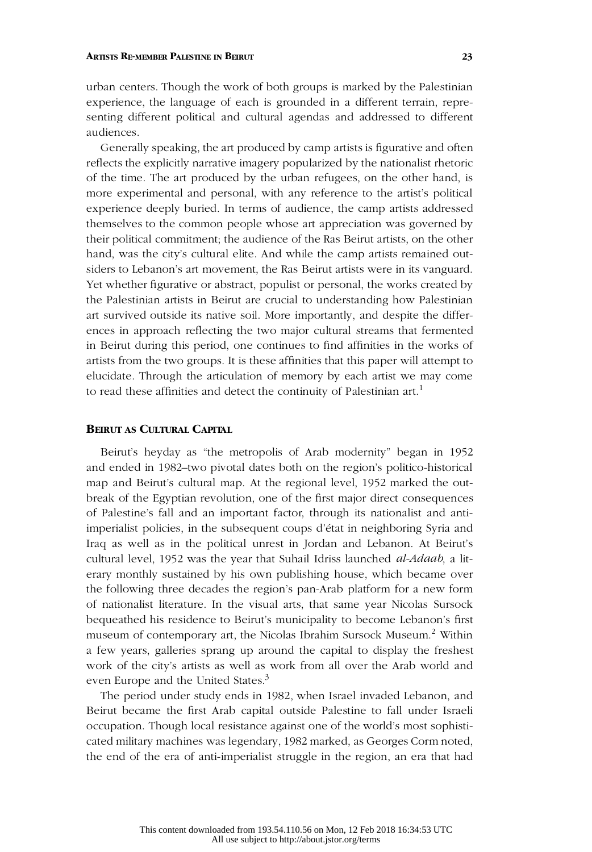#### **ARTISTS RE-MEMBER PALESTINE IN BEIRUT 23**

urban centers. Though the work of both groups is marked by the Palestinian experience, the language of each is grounded in a different terrain, representing different political and cultural agendas and addressed to different audiences.

Generally speaking, the art produced by camp artists is figurative and often reflects the explicitly narrative imagery popularized by the nationalist rhetoric of the time. The art produced by the urban refugees, on the other hand, is more experimental and personal, with any reference to the artist's political experience deeply buried. In terms of audience, the camp artists addressed themselves to the common people whose art appreciation was governed by their political commitment; the audience of the Ras Beirut artists, on the other hand, was the city's cultural elite. And while the camp artists remained outsiders to Lebanon's art movement, the Ras Beirut artists were in its vanguard. Yet whether figurative or abstract, populist or personal, the works created by the Palestinian artists in Beirut are crucial to understanding how Palestinian art survived outside its native soil. More importantly, and despite the differences in approach reflecting the two major cultural streams that fermented in Beirut during this period, one continues to find affinities in the works of artists from the two groups. It is these afnities that this paper will attempt to elucidate. Through the articulation of memory by each artist we may come to read these affinities and detect the continuity of Palestinian art.<sup>1</sup>

# **BEIRUT AS CULTURAL CAPITAL**

Beirut's heyday as "the metropolis of Arab modernity" began in 1952 and ended in 1982–two pivotal dates both on the region's politico-historical map and Beirut's cultural map. At the regional level, 1952 marked the outbreak of the Egyptian revolution, one of the first major direct consequences of Palestine's fall and an important factor, through its nationalist and antiimperialist policies, in the subsequent coups d'état in neighboring Syria and Iraq as well as in the political unrest in Jordan and Lebanon. At Beirut's cultural level, 1952 was the year that Suhail Idriss launched *al-Adaab*, a literary monthly sustained by his own publishing house, which became over the following three decades the region's pan-Arab platform fora new form of nationalist literature. In the visual arts, that same year Nicolas Sursock bequeathed his residence to Beirut's municipality to become Lebanon's first museum of contemporary art, the Nicolas Ibrahim Sursock Museum.<sup>2</sup> Within a few years, galleries sprang up around the capital to display the freshest work of the city's artists as well as work from all over the Arab world and even Europe and the United States.<sup>3</sup>

The period under study ends in 1982, when Israel invaded Lebanon, and Beirut became the first Arab capital outside Palestine to fall under Israeli occupation. Though local resistance against one of the world's most sophisticated military machines was legendary, 1982 marked, as Georges Corm noted, the end of the era of anti-imperialist struggle in the region, an era that had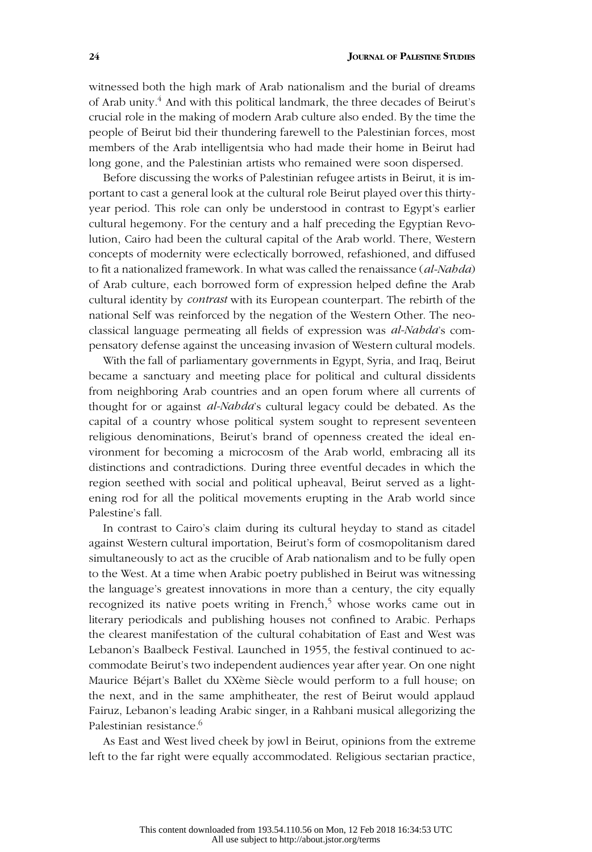witnessed both the high mark of Arab nationalism and the burial of dreams of Arab unity.<sup>4</sup> And with this political landmark, the three decades of Beirut's crucial role in the making of modern Arab culture also ended. By the time the people of Beirut bid their thundering farewell to the Palestinian forces, most members of the Arab intelligentsia who had made their home in Beirut had long gone, and the Palestinian artists who remained were soon dispersed.

Before discussing the works of Palestinian refugee artists in Beirut, it is important to cast a general look at the cultural role Beirut played over this thirtyyear period. This role can only be understood in contrast to Egypt's earlier cultural hegemony. For the century and a half preceding the Egyptian Revolution, Cairo had been the cultural capital of the Arab world. There, Western concepts of modernity were eclectically borrowed, refashioned, and diffused to fit a nationalized framework. In what was called the renaissance (*al-Nahda*) of Arab culture, each borrowed form of expression helped define the Arab cultural identity by *contrast* with its European counterpart. The rebirth of the national Self was reinforced by the negation of the Western Other. The neoclassical language permeating all fields of expression was *al-Nahda*'s compensatory defense against the unceasing invasion of Western cultural models.

With the fall of parliamentary governments in Egypt, Syria, and Iraq, Beirut became a sanctuary and meeting place for political and cultural dissidents from neighboring Arab countries and an open forum where all currents of thought for or against *al-Nahda*'s cultural legacy could be debated. As the capital of a country whose political system sought to represent seventeen religious denominations, Beirut's brand of openness created the ideal environment for becoming a microcosm of the Arab world, embracing all its distinctions and contradictions. During three eventful decades in which the region seethed with social and political upheaval, Beirut served as a lightening rod for all the political movements erupting in the Arab world since Palestine's fall.

In contrast to Cairo's claim during its cultural heyday to stand as citadel against Western cultural importation, Beirut's form of cosmopolitanism dared simultaneously to act as the crucible of Arab nationalism and to be fully open to the West. At a time when Arabic poetry published in Beirut was witnessing the language's greatest innovations in more than a century, the city equally recognized its native poets writing in French, $5$  whose works came out in literary periodicals and publishing houses not confined to Arabic. Perhaps the clearest manifestation of the cultural cohabitation of East and West was Lebanon's Baalbeck Festival. Launched in 1955, the festival continued to accommodate Beirut's two independent audiences year after year. On one night Maurice Béjart's Ballet du XXème Siècle would perform to a full house; on the next, and in the same amphitheater, the rest of Beirut would applaud Fairuz, Lebanon's leading Arabic singer, in a Rahbani musical allegorizing the Palestinian resistance<sup>6</sup>

As East and West lived cheek by jowl in Beirut, opinions from the extreme left to the far right were equally accommodated. Religious sectarian practice,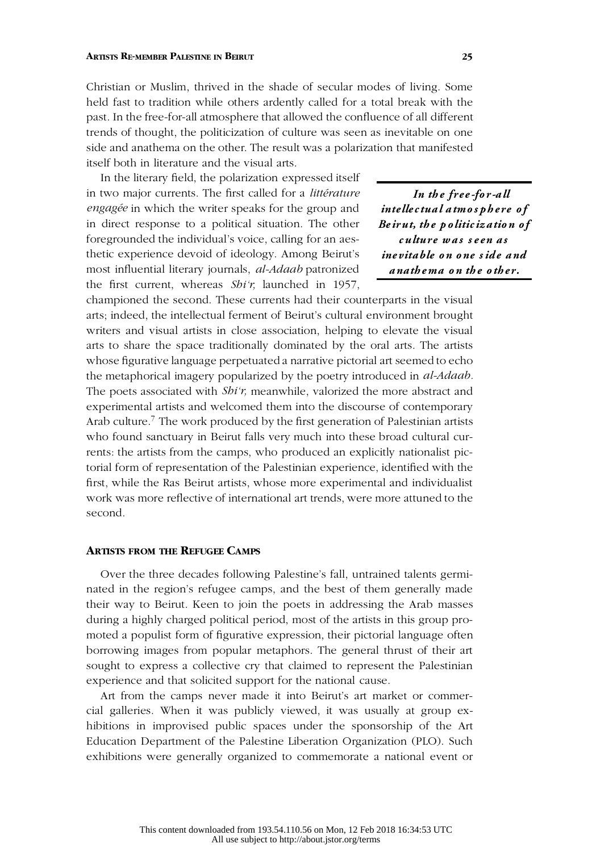Christian or Muslim, thrived in the shade of secular modes of living. Some held fast to tradition while others ardently called for a total break with the past. In the free-for-all atmosphere that allowed the confluence of all different trends of thought, the politicization of culture was seen as inevitable on one side and anathema on the other. The result was a polarization that manifested itself both in literature and the visual arts.

In the literary field, the polarization expressed itself in two major currents. The first called for a *littérature* engagée in which the writer speaks for the group and in direct response to a political situation. The other foregrounded the individual's voice, calling for an aesthetic experience devoid of ideology. Among Beirut's most influential literary journals, *al-Adaab* patronized the first current, whereas *Shi'r*, launched in 1957,

*In th e fre e -fo r-all inte lle ctua l a tmo sph e re o f Be irut, th e p o liticiz atio n o f culture wa s s e en a s ine vitable o n o ne s ide and anath ema o n th e o th e r.*

championed the second. These currents had their counterparts in the visual arts; indeed, the intellectual ferment of Beirut's cultural environment brought writers and visual artists in close association, helping to elevate the visual arts to share the space traditionally dominated by the oral arts. The artists whose figurative language perpetuated a narrative pictorial art seemed to echo the metaphorical imagery popularized by the poetry introduced in *al-Adaab.* The poets associated with *Shi'r,* meanwhile, valorized the more abstract and experimental artists and welcomed them into the discourse of contemporary Arab culture.<sup>7</sup> The work produced by the first generation of Palestinian artists who found sanctuary in Beirut falls very much into these broad cultural currents: the artists from the camps, who produced an explicitly nationalist pictorial form of representation of the Palestinian experience, identified with the first, while the Ras Beirut artists, whose more experimental and individualist work was more reflective of international art trends, were more attuned to the second.

#### **ARTISTS FROM THE REFUGEE CAMPS**

Over the three decades following Palestine's fall, untrained talents germinated in the region's refugee camps, and the best of them generally made their way to Beirut. Keen to join the poets in addressing the Arab masses during a highly charged political period, most of the artists in this group promoted a populist form of figurative expression, their pictorial language often borrowing images from popular metaphors. The general thrust of their art sought to express a collective cry that claimed to represent the Palestinian experience and that solicited support for the national cause.

Art from the camps never made it into Beirut's art market or commercial galleries. When it was publicly viewed, it was usually at group exhibitions in improvised public spaces under the sponsorship of the Art Education Department of the Palestine Liberation Organization (PLO). Such exhibitions were generally organized to commemorate a national event or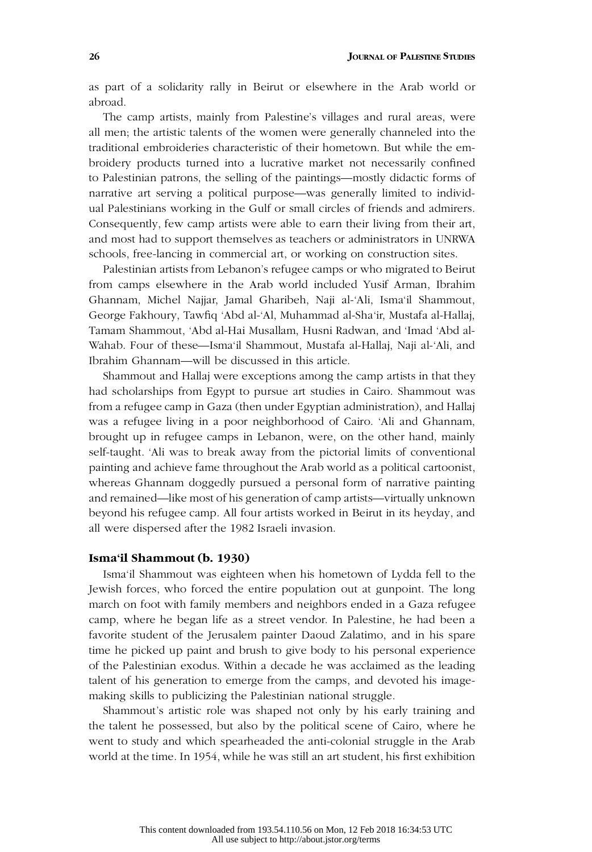as part of a solidarity rally in Beirut or elsewhere in the Arab world or abroad.

The camp artists, mainly from Palestine's villages and rural areas, were all men; the artistic talents of the women were generally channeled into the traditional embroideries characteristic of their hometown. But while the embroidery products turned into a lucrative market not necessarily confined to Palestinian patrons, the selling of the paintings—mostly didactic forms of narrative art serving a political purpose—was generally limited to individual Palestinians working in the Gulf or small circles of friends and admirers. Consequently, few camp artists were able to earn their living from their art, and most had to support themselves as teachers or administrators in UNRWA schools, free-lancing in commercial art, or working on construction sites.

Palestinian artists from Lebanon's refugee camps or who migrated to Beirut from camps elsewhere in the Arab world included Yusif Arman, Ibrahim Ghannam, Michel Najjar, Jamal Gharibeh, Naji al-'Ali, Isma'il Shammout, George Fakhoury, Tawfiq 'Abd al-'Al, Muhammad al-Sha'ir, Mustafa al-Hallai, Tamam Shammout, 'Abd al-Hai Musallam, Husni Radwan, and 'Imad 'Abd al-Wahab. Four of these—Isma'il Shammout, Mustafa al-Hallaj, Naji al-'Ali, and Ibrahim Ghannam—will be discussed in this article.

Shammout and Hallaj were exceptions among the camp artists in that they had scholarships from Egypt to pursue art studies in Cairo. Shammout was from a refugee camp in Gaza (then under Egyptian administration), and Hallaj was a refugee living in a poor neighborhood of Cairo. 'Ali and Ghannam, brought up in refugee camps in Lebanon, were, on the other hand, mainly self-taught. 'Ali was to break away from the pictorial limits of conventional painting and achieve fame throughout the Arab world as a political cartoonist, whereas Ghannam doggedly pursued a personal form of narrative painting and remained—like most of his generation of camp artists—virtually unknown beyond his refugee camp. All four artists worked in Beirut in its heyday, and all were dispersed after the 1982 Israeli invasion.

# **Isma'il Shammout (b. 1930)**

Isma'il Shammout was eighteen when his hometown of Lydda fell to the Jewish forces, who forced the entire population out at gunpoint. The long march on foot with family members and neighbors ended in a Gaza refugee camp, where he began life as a street vendor. In Palestine, he had been a favorite student of the Jerusalem painter Daoud Zalatimo, and in his spare time he picked up paint and brush to give body to his personal experience of the Palestinian exodus. Within a decade he was acclaimed as the leading talent of his generation to emerge from the camps, and devoted his imagemaking skills to publicizing the Palestinian national struggle.

Shammout's artistic role was shaped not only by his early training and the talent he possessed, but also by the political scene of Cairo, where he went to study and which spearheaded the anti-colonial struggle in the Arab world at the time. In 1954, while he was still an art student, his first exhibition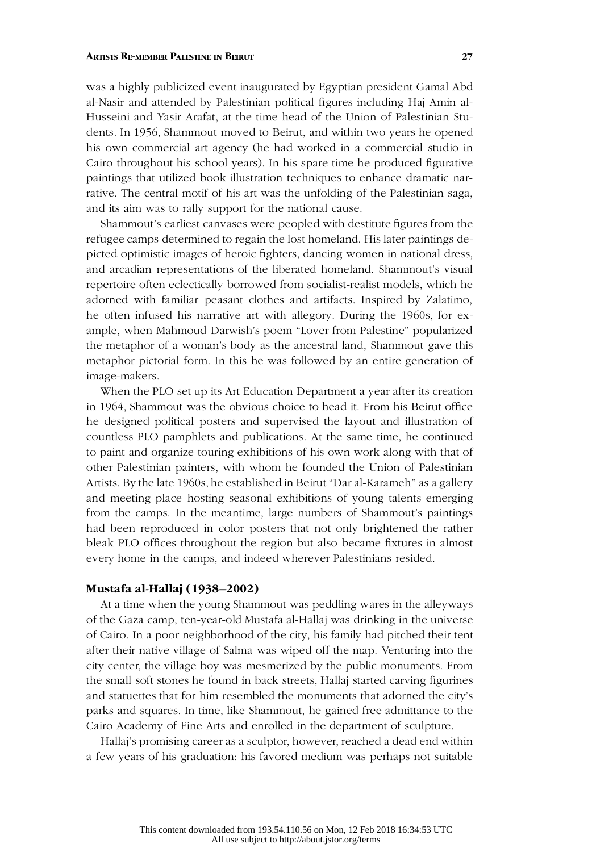was a highly publicized event inaugurated by Egyptian president Gamal Abd al-Nasir and attended by Palestinian political figures including Haj Amin al-Husseini and Yasir Arafat, at the time head of the Union of Palestinian Students. In 1956, Shammout moved to Beirut, and within two years he opened his own commercial art agency (he had worked in a commercial studio in Cairo throughout his school years). In his spare time he produced figurative paintings that utilized book illustration techniques to enhance dramatic narrative. The central motif of his art was the unfolding of the Palestinian saga, and its aim was to rally support for the national cause.

Shammout's earliest canvases were peopled with destitute figures from the refugee camps determined to regain the lost homeland. His later paintings depicted optimistic images of heroic fighters, dancing women in national dress, and arcadian representations of the liberated homeland. Shammout's visual repertoire often eclectically borrowed from socialist-realist models, which he adorned with familiar peasant clothes and artifacts. Inspired by Zalatimo, he often infused his narrative art with allegory. During the 1960s, for example, when Mahmoud Darwish's poem "Lover from Palestine" popularized the metaphor of a woman's body as the ancestral land, Shammout gave this metaphor pictorial form. In this he was followed by an entire generation of image-makers.

When the PLO set up its Art Education Department a year after its creation in 1964, Shammout was the obvious choice to head it. From his Beirut office he designed political posters and supervised the layout and illustration of countless PLO pamphlets and publications. At the same time, he continued to paint and organize touring exhibitions of his own work along with that of other Palestinian painters, with whom he founded the Union of Palestinian Artists. By the late 1960s, he established in Beirut "Dar al-Karameh" as a gallery and meeting place hosting seasonal exhibitions of young talents emerging from the camps. In the meantime, large numbers of Shammout's paintings had been reproduced in color posters that not only brightened the rather bleak PLO offices throughout the region but also became fixtures in almost every home in the camps, and indeed wherever Palestinians resided.

# **Mustafa al-Hallaj (1938–2002)**

At a time when the young Shammout was peddling wares in the alleyways of the Gaza camp, ten-year-old Mustafa al-Hallaj was drinking in the universe of Cairo. In a poor neighborhood of the city, his family had pitched their tent after their native village of Salma was wiped off the map. Venturing into the city center, the village boy was mesmerized by the public monuments. From the small soft stones he found in back streets, Hallaj started carving figurines and statuettes that for him resembled the monuments that adorned the city's parks and squares. In time, like Shammout, he gained free admittance to the Cairo Academy of Fine Arts and enrolled in the department of sculpture.

Hallaj's promising career as a sculptor, however, reached a dead end within a few years of his graduation: his favored medium was perhaps not suitable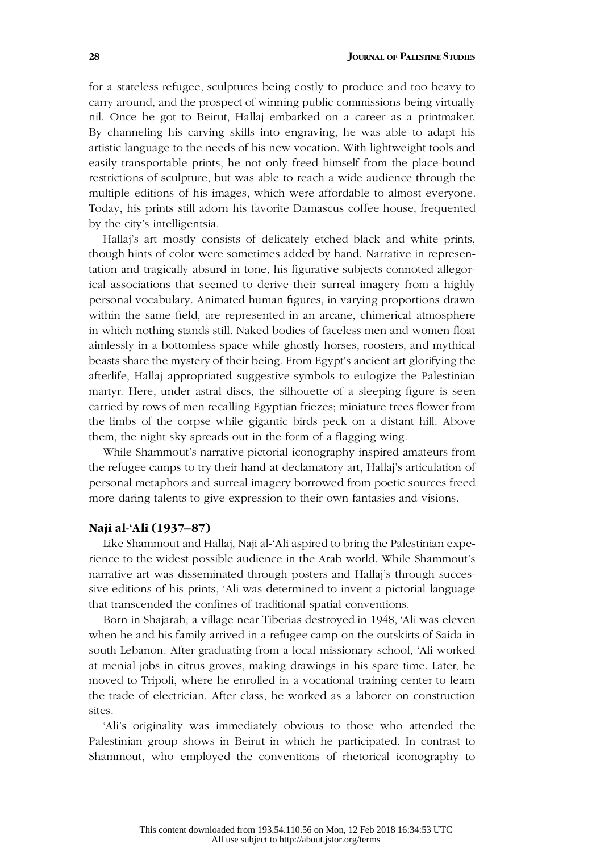for a stateless refugee, sculptures being costly to produce and too heavy to carry around, and the prospect of winning public commissions being virtually nil. Once he got to Beirut, Hallaj embarked on a career as a printmaker. By channeling his carving skills into engraving, he was able to adapt his artistic language to the needs of his new vocation. With lightweight tools and easily transportable prints, he not only freed himself from the place-bound restrictions of sculpture, but was able to reach a wide audience through the multiple editions of his images, which were affordable to almost everyone. Today, his prints still adorn his favorite Damascus coffee house, frequented by the city's intelligentsia.

Hallaj's art mostly consists of delicately etched black and white prints, though hints of color were sometimes added by hand. Narrative in representation and tragically absurd in tone, his figurative subjects connoted allegorical associations that seemed to derive their surreal imagery from a highly personal vocabulary. Animated human figures, in varying proportions drawn within the same field, are represented in an arcane, chimerical atmosphere in which nothing stands still. Naked bodies of faceless men and women float aimlessly in a bottomless space while ghostly horses, roosters, and mythical beasts share the mystery of their being. From Egypt's ancient art glorifying the afterlife, Hallaj appropriated suggestive symbols to eulogize the Palestinian martyr. Here, under astral discs, the silhouette of a sleeping figure is seen carried by rows of men recalling Egyptian friezes; miniature trees flower from the limbs of the corpse while gigantic birds peck on a distant hill. Above them, the night sky spreads out in the form of a flagging wing.

While Shammout's narrative pictorial iconography inspired amateurs from the refugee camps to try their hand at declamatory art, Hallaj's articulation of personal metaphors and surreal imagery borrowed from poetic sources freed more daring talents to give expression to their own fantasies and visions.

#### **Naji al-'Ali (1937–87)**

Like Shammout and Hallaj, Naji al-'Ali aspired to bring the Palestinian experience to the widest possible audience in the Arab world. While Shammout's narrative art was disseminated through posters and Hallaj's through successive editions of his prints, 'Ali was determined to invent a pictorial language that transcended the confines of traditional spatial conventions.

Born in Shajarah, a village near Tiberias destroyed in 1948, 'Ali was eleven when he and his family arrived in a refugee camp on the outskirts of Saida in south Lebanon. After graduating from a local missionary school, 'Ali worked at menial jobs in citrus groves, making drawings in his spare time. Later, he moved to Tripoli, where he enrolled in a vocational training center to learn the trade of electrician. After class, he worked as a laborer on construction sites.

'Ali's originality was immediately obvious to those who attended the Palestinian group shows in Beirut in which he participated. In contrast to Shammout, who employed the conventions of rhetorical iconography to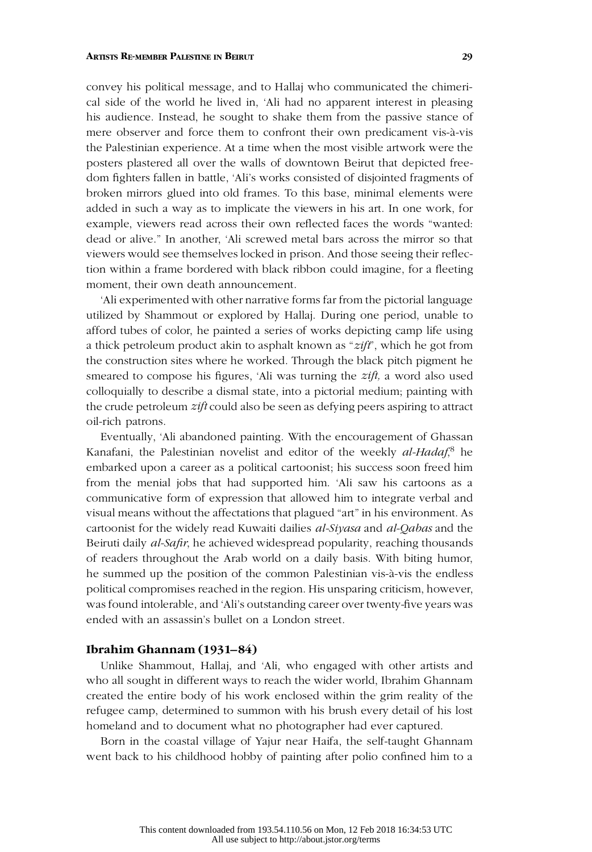convey his political message, and to Hallaj who communicated the chimerical side of the world he lived in, 'Ali had no apparent interest in pleasing his audience. Instead, he sought to shake them from the passive stance of mere observer and force them to confront their own predicament vis-à-vis the Palestinian experience. At a time when the most visible artwork were the posters plastered all over the walls of downtown Beirut that depicted freedom fighters fallen in battle, 'Ali's works consisted of disjointed fragments of broken mirrors glued into old frames. To this base, minimal elements were added in such a way as to implicate the viewers in his art. In one work, for example, viewers read across their own reflected faces the words "wanted: dead or alive." In another, 'Ali screwed metal bars across the mirror so that viewers would see themselves locked in prison. And those seeing their reflection within a frame bordered with black ribbon could imagine, for a fleeting moment, their own death announcement.

'Ali experimented with other narrative forms far from the pictorial language utilized by Shammout or explored by Hallaj. During one period, unable to afford tubes of color, he painted a series of works depicting camp life using a thick petroleum product akin to asphalt known as "*zift*", which he got from the construction sites where he worked. Through the black pitch pigment he smeared to compose his figures, 'Ali was turning the *zift*, a word also used colloquially to describe a dismal state, into a pictorial medium; painting with the crude petroleum *zift* could also be seen as defying peers aspiring to attract oil-rich patrons.

Eventually, 'Ali abandoned painting. With the encouragement of Ghassan Kanafani, the Palestinian novelist and editor of the weekly *al-Hadaf*<sup>8</sup> he embarked upon a career as a political cartoonist; his success soon freed him from the menial jobs that had supported him. 'Ali saw his cartoons as a communicative form of expression that allowed him to integrate verbal and visual means without the affectations that plagued "art" in his environment. As cartoonist for the widely read Kuwaiti dailies *al-Siyasa* and *al-Qabas* and the Beiruti daily *al-Sar*, he achieved widespread popularity, reaching thousands of readers throughout the Arab world on a daily basis. With biting humor, he summed up the position of the common Palestinian vis- $\lambda$ -vis the endless political compromises reached in the region. His unsparing criticism, however, was found intolerable, and 'Ali's outstanding career over twenty-five years was ended with an assassin's bullet on a London street.

# **Ibrahim Ghannam (1931–84)**

Unlike Shammout, Hallaj, and 'Ali, who engaged with other artists and who all sought in different ways to reach the wider world, Ibrahim Ghannam created the entire body of his work enclosed within the grim reality of the refugee camp, determined to summon with his brush every detail of his lost homeland and to document what no photographer had ever captured.

Born in the coastal village of Yajur near Haifa, the self-taught Ghannam went back to his childhood hobby of painting after polio confined him to a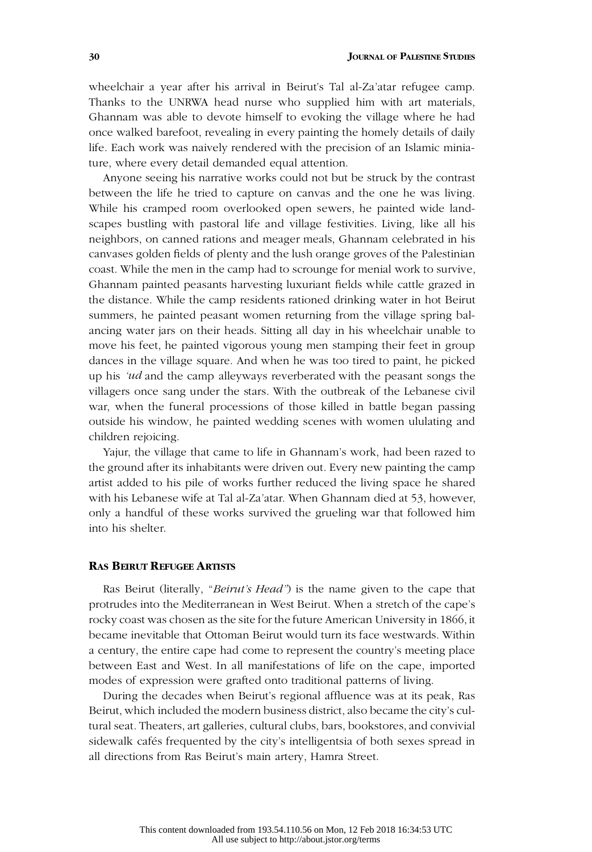wheelchair a year after his arrival in Beirut's Tal al-Za'atar refugee camp. Thanks to the UNRWA head nurse who supplied him with art materials, Ghannam was able to devote himself to evoking the village where he had once walked barefoot, revealing in every painting the homely details of daily life. Each work was naively rendered with the precision of an Islamic miniature, where every detail demanded equal attention.

Anyone seeing his narrative works could not but be struck by the contrast between the life he tried to capture on canvas and the one he was living. While his cramped room overlooked open sewers, he painted wide landscapes bustling with pastoral life and village festivities. Living, like all his neighbors, on canned rations and meager meals, Ghannam celebrated in his canvases golden fields of plenty and the lush orange groves of the Palestinian coast. While the men in the camp had to scrounge for menial work to survive, Ghannam painted peasants harvesting luxuriant fields while cattle grazed in the distance. While the camp residents rationed drinking water in hot Beirut summers, he painted peasant women returning from the village spring balancing water jars on their heads. Sitting all day in his wheelchair unable to move his feet, he painted vigorous young men stamping their feet in group dances in the village square. And when he was too tired to paint, he picked up his *'ud* and the camp alleyways reverberated with the peasant songs the villagers once sang under the stars. With the outbreak of the Lebanese civil war, when the funeral processions of those killed in battle began passing outside his window, he painted wedding scenes with women ululating and children rejoicing.

Yajur, the village that came to life in Ghannam's work, had been razed to the ground after its inhabitants were driven out. Every new painting the camp artist added to his pile of works further reduced the living space he shared with his Lebanese wife at Tal al-Za'atar. When Ghannam died at 53, however, only a handful of these works survived the grueling war that followed him into his shelter.

### **RAS BEIRUT REFUGEE ARTISTS**

Ras Beirut (literally, "*Beirut's Head"*) is the name given to the cape that protrudes into the Mediterranean in West Beirut. When a stretch of the cape's rocky coast was chosen as the site for the future American University in 1866, it became inevitable that Ottoman Beirut would turn its face westwards. Within a century, the entire cape had come to represent the country's meeting place between East and West. In all manifestations of life on the cape, imported modes of expression were grafted onto traditional patterns of living.

During the decades when Beirut's regional affluence was at its peak, Ras Beirut, which included the modern business district, also became the city's cultural seat. Theaters, art galleries, cultural clubs, bars, bookstores, and convivial sidewalk cafés frequented by the city's intelligentsia of both sexes spread in all directions from Ras Beirut's main artery, Hamra Street.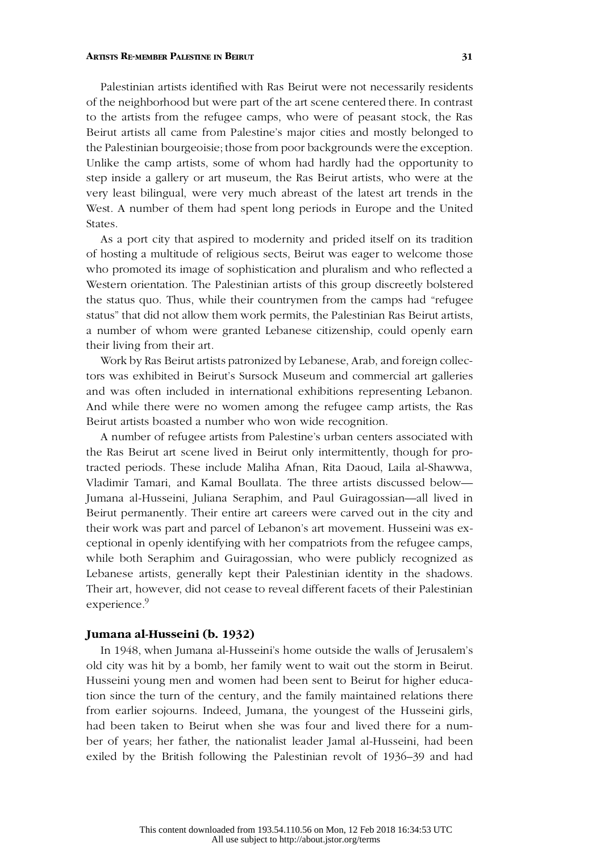#### **ARTISTS RE-MEMBER PALESTINE IN BEIRUT 31**

Palestinian artists identified with Ras Beirut were not necessarily residents of the neighborhood but were part of the art scene centered there. In contrast to the artists from the refugee camps, who were of peasant stock, the Ras Beirut artists all came from Palestine's major cities and mostly belonged to the Palestinian bourgeoisie; those from poor backgrounds were the exception. Unlike the camp artists, some of whom had hardly had the opportunity to step inside a gallery or art museum, the Ras Beirut artists, who were at the very least bilingual, were very much abreast of the latest art trends in the West. A number of them had spent long periods in Europe and the United States.

As a port city that aspired to modernity and prided itself on its tradition of hosting a multitude of religious sects, Beirut was eager to welcome those who promoted its image of sophistication and pluralism and who reflected a Western orientation. The Palestinian artists of this group discreetly bolstered the status quo. Thus, while their countrymen from the camps had "refugee status" that did not allow them work permits, the Palestinian Ras Beirut artists, a number of whom were granted Lebanese citizenship, could openly earn their living from their art.

Work by Ras Beirut artists patronized by Lebanese, Arab, and foreign collectors was exhibited in Beirut's Sursock Museum and commercial art galleries and was often included in international exhibitions representing Lebanon. And while there were no women among the refugee camp artists, the Ras Beirut artists boasted a number who won wide recognition.

A number of refugee artists from Palestine's urban centers associated with the Ras Beirut art scene lived in Beirut only intermittently, though for protracted periods. These include Maliha Afnan, Rita Daoud, Laila al-Shawwa, Vladimir Tamari, and Kamal Boullata. The three artists discussed below— Jumana al-Husseini, Juliana Seraphim, and Paul Guiragossian—all lived in Beirut permanently. Their entire art careers were carved out in the city and their work was part and parcel of Lebanon's art movement. Husseini was exceptional in openly identifying with her compatriots from the refugee camps, while both Seraphim and Guiragossian, who were publicly recognized as Lebanese artists, generally kept their Palestinian identity in the shadows. Their art, however, did not cease to reveal different facets of their Palestinian experience.<sup>9</sup>

# **Jumana al-Husseini (b. 1932)**

In 1948, when Jumana al-Husseini's home outside the walls of Jerusalem's old city was hit by a bomb, her family went to wait out the storm in Beirut. Husseini young men and women had been sent to Beirut for higher education since the turn of the century, and the family maintained relations there from earlier sojourns. Indeed, Jumana, the youngest of the Husseini girls, had been taken to Beirut when she was four and lived there for a number of years; her father, the nationalist leader Jamal al-Husseini, had been exiled by the British following the Palestinian revolt of 1936–39 and had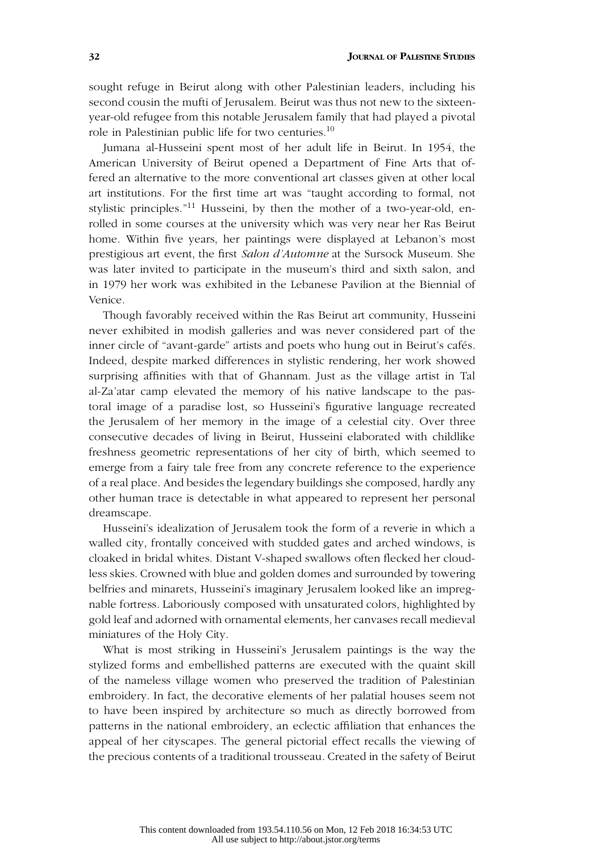sought refuge in Beirut along with other Palestinian leaders, including his second cousin the mufti of Jerusalem. Beirut was thus not new to the sixteenyear-old refugee from this notable Jerusalem family that had played a pivotal role in Palestinian public life for two centuries.<sup>10</sup>

Jumana al-Husseini spent most of her adult life in Beirut. In 1954, the American University of Beirut opened a Department of Fine Arts that offered an alternative to the more conventional art classes given at other local art institutions. For the first time art was "taught according to formal, not stylistic principles."<sup>11</sup> Husseini, by then the mother of a two-year-old, enrolled in some courses at the university which was very near her Ras Beirut home. Within five years, her paintings were displayed at Lebanon's most prestigious art event, the first *Salon d'Automne* at the Sursock Museum. She was later invited to participate in the museum's third and sixth salon, and in 1979 her work was exhibited in the Lebanese Pavilion at the Biennial of Venice.

Though favorably received within the Ras Beirut art community, Husseini never exhibited in modish galleries and was never considered part of the inner circle of "avant-garde" artists and poets who hung out in Beirut's cafes. ´ Indeed, despite marked differences in stylistic rendering, her work showed surprising afnities with that of Ghannam. Just as the village artist in Tal al-Za'atar camp elevated the memory of his native landscape to the pastoral image of a paradise lost, so Husseini's figurative language recreated the Jerusalem of her memory in the image of a celestial city. Over three consecutive decades of living in Beirut, Husseini elaborated with childlike freshness geometric representations of her city of birth, which seemed to emerge from a fairy tale free from any concrete reference to the experience of a real place. And besides the legendary buildings she composed, hardly any other human trace is detectable in what appeared to represent her personal dreamscape.

Husseini's idealization of Jerusalem took the form of a reverie in which a walled city, frontally conceived with studded gates and arched windows, is cloaked in bridal whites. Distant V-shaped swallows often flecked her cloudless skies. Crowned with blue and golden domes and surrounded by towering belfries and minarets, Husseini's imaginary Jerusalem looked like an impregnable fortress. Laboriously composed with unsaturated colors, highlighted by gold leaf and adorned with ornamental elements, her canvases recall medieval miniatures of the Holy City.

What is most striking in Husseini's Jerusalem paintings is the way the stylized forms and embellished patterns are executed with the quaint skill of the nameless village women who preserved the tradition of Palestinian embroidery. In fact, the decorative elements of her palatial houses seem not to have been inspired by architecture so much as directly borrowed from patterns in the national embroidery, an eclectic afliation that enhances the appeal of her cityscapes. The general pictorial effect recalls the viewing of the precious contents of a traditional trousseau. Created in the safety of Beirut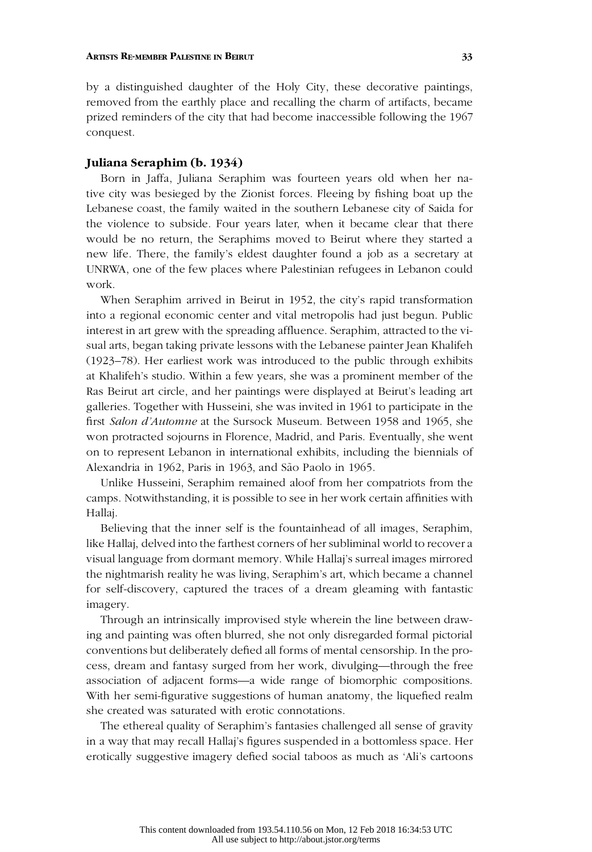by a distinguished daughter of the Holy City, these decorative paintings, removed from the earthly place and recalling the charm of artifacts, became prized reminders of the city that had become inaccessible following the 1967 conquest.

### **Juliana Seraphim (b. 1934)**

Born in Jaffa, Juliana Seraphim was fourteen years old when her native city was besieged by the Zionist forces. Fleeing by fishing boat up the Lebanese coast, the family waited in the southern Lebanese city of Saida for the violence to subside. Four years later, when it became clear that there would be no return, the Seraphims moved to Beirut where they started a new life. There, the family's eldest daughter found a job as a secretary at UNRWA, one of the few places where Palestinian refugees in Lebanon could work.

When Seraphim arrived in Beirut in 1952, the city's rapid transformation into a regional economic center and vital metropolis had just begun. Public interest in art grew with the spreading affluence. Seraphim, attracted to the visual arts, began taking private lessons with the Lebanese painter Jean Khalifeh (1923–78). Her earliest work was introduced to the public through exhibits at Khalifeh's studio. Within a few years, she was a prominent member of the Ras Beirut art circle, and her paintings were displayed at Beirut's leading art galleries. Together with Husseini, she was invited in 1961 to participate in the first *Salon d'Automne* at the Sursock Museum. Between 1958 and 1965, she won protracted sojourns in Florence, Madrid, and Paris. Eventually, she went on to represent Lebanon in international exhibits, including the biennials of Alexandria in 1962, Paris in 1963, and São Paolo in 1965.

Unlike Husseini, Seraphim remained aloof from her compatriots from the camps. Notwithstanding, it is possible to see in her work certain affinities with Hallaj.

Believing that the inner self is the fountainhead of all images, Seraphim, like Hallaj, delved into the farthest corners of her subliminal world to recover a visual language from dormant memory. While Hallaj's surreal images mirrored the nightmarish reality he was living, Seraphim's art, which became a channel for self-discovery, captured the traces of a dream gleaming with fantastic imagery.

Through an intrinsically improvised style wherein the line between drawing and painting was often blurred, she not only disregarded formal pictorial conventions but deliberately deed all forms of mental censorship. In the process, dream and fantasy surged from her work, divulging—through the free association of adjacent forms—a wide range of biomorphic compositions. With her semi-figurative suggestions of human anatomy, the liquefied realm she created was saturated with erotic connotations.

The ethereal quality of Seraphim's fantasies challenged all sense of gravity in a way that may recall Hallaj's figures suspended in a bottomless space. Her erotically suggestive imagery defied social taboos as much as 'Ali's cartoons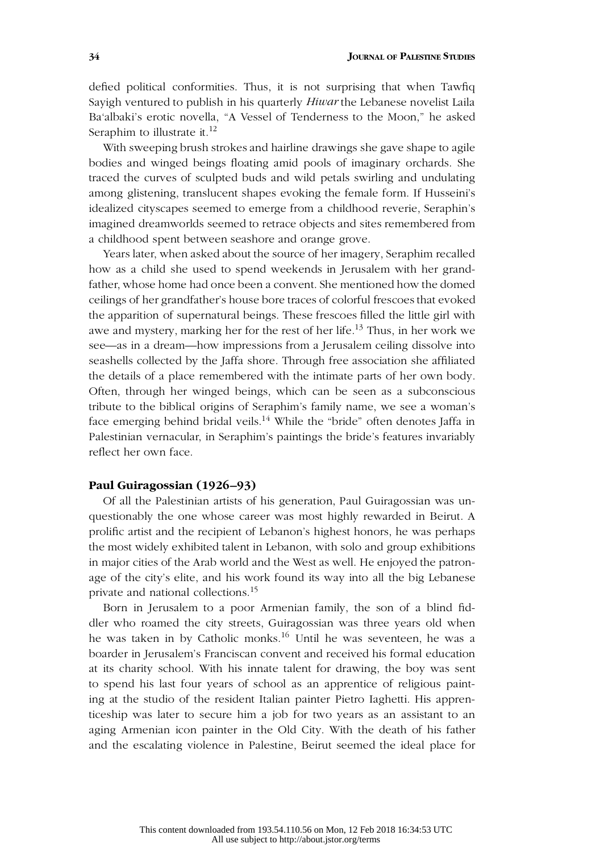defied political conformities. Thus, it is not surprising that when Tawfiq Sayigh ventured to publish in his quarterly *Hiwar* the Lebanese novelist Laila Ba'albaki's erotic novella, "A Vessel of Tenderness to the Moon," he asked Seraphim to illustrate it.<sup>12</sup>

With sweeping brush strokes and hairline drawings she gave shape to agile bodies and winged beings floating amid pools of imaginary orchards. She traced the curves of sculpted buds and wild petals swirling and undulating among glistening, translucent shapes evoking the female form. If Husseini's idealized cityscapes seemed to emerge from a childhood reverie, Seraphin's imagined dreamworlds seemed to retrace objects and sites remembered from a childhood spent between seashore and orange grove.

Years later, when asked about the source of her imagery, Seraphim recalled how as a child she used to spend weekends in Jerusalem with her grandfather, whose home had once been a convent. She mentioned how the domed ceilings of her grandfather's house bore traces of colorful frescoes that evoked the apparition of supernatural beings. These frescoes filled the little girl with awe and mystery, marking her for the rest of her life.<sup>13</sup> Thus, in her work we see—as in a dream—how impressions from a Jerusalem ceiling dissolve into seashells collected by the Jaffa shore. Through free association she affiliated the details of a place remembered with the intimate parts of her own body. Often, through her winged beings, which can be seen as a subconscious tribute to the biblical origins of Seraphim's family name, we see a woman's face emerging behind bridal veils.<sup>14</sup> While the "bride" often denotes Jaffa in Palestinian vernacular, in Seraphim's paintings the bride's features invariably reflect her own face

# **Paul Guiragossian (1926–93)**

Of all the Palestinian artists of his generation, Paul Guiragossian was unquestionably the one whose career was most highly rewarded in Beirut. A prolific artist and the recipient of Lebanon's highest honors, he was perhaps the most widely exhibited talent in Lebanon, with solo and group exhibitions in major cities of the Arab world and the West as well. He enjoyed the patronage of the city's elite, and his work found its way into all the big Lebanese private and national collections.<sup>15</sup>

Born in Jerusalem to a poor Armenian family, the son of a blind fiddler who roamed the city streets, Guiragossian was three years old when he was taken in by Catholic monks.<sup>16</sup> Until he was seventeen, he was a boarder in Jerusalem's Franciscan convent and received his formal education at its charity school. With his innate talent for drawing, the boy was sent to spend his last four years of school as an apprentice of religious painting at the studio of the resident Italian painter Pietro Iaghetti. His apprenticeship was later to secure him a job for two years as an assistant to an aging Armenian icon painter in the Old City. With the death of his father and the escalating violence in Palestine, Beirut seemed the ideal place for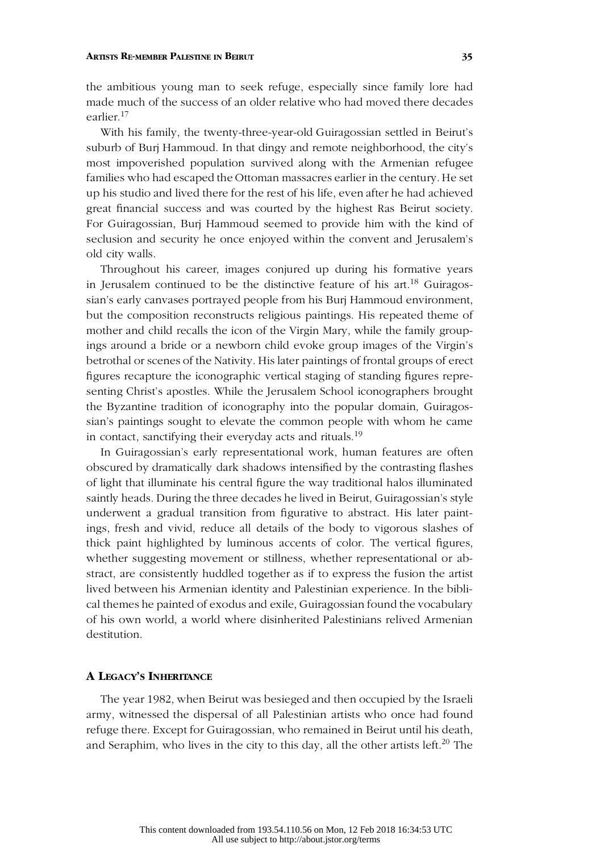#### **ARTISTS RE-MEMBER PALESTINE IN BEIRUT 35**

the ambitious young man to seek refuge, especially since family lore had made much of the success of an older relative who had moved there decades earlier.<sup>17</sup>

With his family, the twenty-three-year-old Guiragossian settled in Beirut's suburb of Burj Hammoud. In that dingy and remote neighborhood, the city's most impoverished population survived along with the Armenian refugee families who had escaped the Ottoman massacres earlier in the century. He set up his studio and lived there for the rest of his life, even after he had achieved great financial success and was courted by the highest Ras Beirut society. For Guiragossian, Burj Hammoud seemed to provide him with the kind of seclusion and security he once enjoyed within the convent and Jerusalem's old city walls.

Throughout his career, images conjured up during his formative years in Jerusalem continued to be the distinctive feature of his art.<sup>18</sup> Guiragossian's early canvases portrayed people from his Burj Hammoud environment, but the composition reconstructs religious paintings. His repeated theme of mother and child recalls the icon of the Virgin Mary, while the family groupings around a bride or a newborn child evoke group images of the Virgin's betrothal or scenes of the Nativity. His later paintings of frontal groups of erect figures recapture the iconographic vertical staging of standing figures representing Christ's apostles. While the Jerusalem School iconographers brought the Byzantine tradition of iconography into the popular domain, Guiragossian's paintings sought to elevate the common people with whom he came in contact, sanctifying their everyday acts and rituals.<sup>19</sup>

In Guiragossian's early representational work, human features are often obscured by dramatically dark shadows intensified by the contrasting flashes of light that illuminate his central figure the way traditional halos illuminated saintly heads. During the three decades he lived in Beirut, Guiragossian's style underwent a gradual transition from figurative to abstract. His later paintings, fresh and vivid, reduce all details of the body to vigorous slashes of thick paint highlighted by luminous accents of color. The vertical figures, whether suggesting movement or stillness, whether representational or abstract, are consistently huddled together as if to express the fusion the artist lived between his Armenian identity and Palestinian experience. In the biblical themes he painted of exodus and exile, Guiragossian found the vocabulary of his own world, a world where disinherited Palestinians relived Armenian destitution.

#### **A LEGACY'S INHERITANCE**

The year 1982, when Beirut was besieged and then occupied by the Israeli army, witnessed the dispersal of all Palestinian artists who once had found refuge there. Except for Guiragossian, who remained in Beirut until his death, and Seraphim, who lives in the city to this day, all the other artists left.<sup>20</sup> The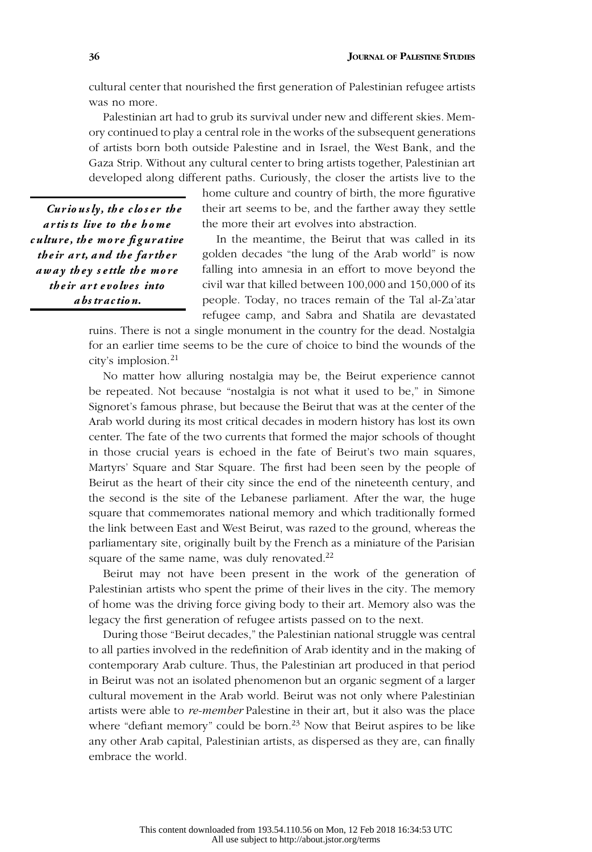cultural center that nourished the first generation of Palestinian refugee artists was no more.

Palestinian art had to grub its survival under new and different skies. Memory continued to play a central role in the works of the subsequent generations of artists born both outside Palestine and in Israel, the West Bank, and the Gaza Strip. Without any cultural center to bring artists together, Palestinian art developed along different paths. Curiously, the closer the artists live to the

*Curio us ly, th e clo se r the a rtis ts live to th e h ome culture , th e mo re g urative the ir a rt, and the fa rthe r awa y th e y s e ttle the mo re the ir a rt e vo lve s into a bs tractio n.*

home culture and country of birth, the more figurative their art seems to be, and the farther away they settle the more their art evolves into abstraction.

In the meantime, the Beirut that was called in its golden decades "the lung of the Arab world" is now falling into amnesia in an effort to move beyond the civil war that killed between 100,000 and 150,000 of its people. Today, no traces remain of the Tal al-Za'atar refugee camp, and Sabra and Shatila are devastated

ruins. There is not a single monument in the country for the dead. Nostalgia for an earlier time seems to be the cure of choice to bind the wounds of the city's implosion.<sup>21</sup>

No matter how alluring nostalgia may be, the Beirut experience cannot be repeated. Not because "nostalgia is not what it used to be," in Simone Signoret's famous phrase, but because the Beirut that was at the center of the Arab world during its most critical decades in modern history has lost its own center. The fate of the two currents that formed the major schools of thought in those crucial years is echoed in the fate of Beirut's two main squares, Martyrs' Square and Star Square. The first had been seen by the people of Beirut as the heart of their city since the end of the nineteenth century, and the second is the site of the Lebanese parliament. After the war, the huge square that commemorates national memory and which traditionally formed the link between East and West Beirut, was razed to the ground, whereas the parliamentary site, originally built by the French as a miniature of the Parisian square of the same name, was duly renovated. $^{22}$ 

Beirut may not have been present in the work of the generation of Palestinian artists who spent the prime of their lives in the city. The memory of home was the driving force giving body to their art. Memory also was the legacy the first generation of refugee artists passed on to the next.

During those "Beirut decades," the Palestinian national struggle was central to all parties involved in the redenition of Arab identity and in the making of contemporary Arab culture. Thus, the Palestinian art produced in that period in Beirut was not an isolated phenomenon but an organic segment of a larger cultural movement in the Arab world. Beirut was not only where Palestinian artists were able to *re-member* Palestine in their art, but it also was the place where "defiant memory" could be born.<sup>23</sup> Now that Beirut aspires to be like any other Arab capital, Palestinian artists, as dispersed as they are, can finally embrace the world.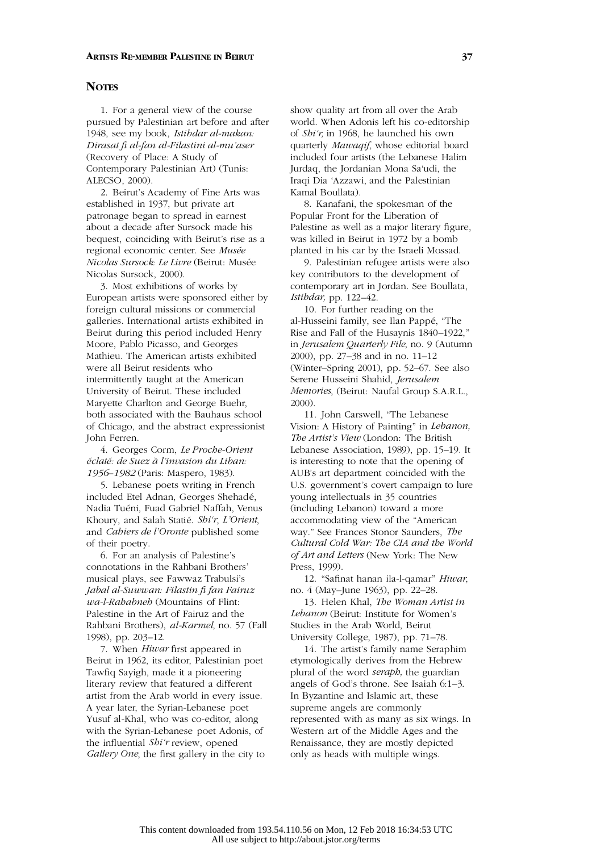#### **NOTES**

1. For a general view of the course pursued by Palestinian art before and after 1948, see my book, *Istihdar al-makan: Dirasat al-fan al-Filastini al-mu'aser* (Recovery of Place: A Study of Contemporary Palestinian Art) (Tunis: ALECSO, 2000).

2. Beirut's Academy of Fine Arts was established in 1937, but private art patronage began to spread in earnest about a decade after Sursock made his bequest, coinciding with Beirut's rise as a regional economic center. See *Musee´ Nicolas Sursock: Le Livre* (Beirut: Musee´ Nicolas Sursock, 2000).

3. Most exhibitions of works by European artists were sponsored either by foreign cultural missions or commercial galleries. International artists exhibited in Beirut during this period included Henry Moore, Pablo Picasso, and Georges Mathieu. The American artists exhibited were all Beirut residents who intermittently taught at the American University of Beirut. These included Maryette Charlton and George Buehr, both associated with the Bauhaus school of Chicago, and the abstract expressionist John Ferren.

4. Georges Corm, *Le Proche-Orient eclat ´ e:´ de Suez a` l'invasion du Liban: 1956–1982* (Paris: Maspero, 1983).

5. Lebanese poets writing in French included Etel Adnan, Georges Shehadé,<br>Nadia Tuéni, Fuad Gabriel Naffah, Venus Khoury, and Salah Statie.´ *Shi'r*, *L'Orient*, and *Cahiers de l'Oronte* published some of their poetry.

6. For an analysis of Palestine's connotations in the Rahbani Brothers' musical plays, see Fawwaz Trabulsi's *Jabal al-Suwwan: Filastin fan Fairuz wa-l-Rahabneh* (Mountains of Flint: Palestine in the Art of Fairuz and the Rahbani Brothers), *al-Karmel*, no. 57 (Fall 1998), pp. 203–12.

7. When *Hiwar* first appeared in Beirut in 1962, its editor, Palestinian poet Tawfiq Sayigh, made it a pioneering literary review that featured a different artist from the Arab world in every issue. A year later, the Syrian-Lebanese poet Yusuf al-Khal, who was co-editor, along with the Syrian-Lebanese poet Adonis, of the influential *Shi'r* review, opened *Gallery One*, the first gallery in the city to show quality art from all over the Arab world. When Adonis left his co-editorship of *Shi'r,* in 1968, he launched his own quarterly *Mawaqif,* whose editorial board included four artists (the Lebanese Halim Jurdaq, the Jordanian Mona Sa'udi, the Iraqi Dia 'Azzawi, and the Palestinian Kamal Boullata).

8. Kanafani, the spokesman of the Popular Front for the Liberation of Palestine as well as a major literary figure, was killed in Beirut in 1972 by a bomb planted in his car by the Israeli Mossad.

9. Palestinian refugee artists were also key contributors to the development of contemporary art in Jordan. See Boullata, *Istihdar,* pp. 122–42.

10. For further reading on the al-Husseini family, see Ilan Pappé, "The Rise and Fall of the Husaynis 1840–1922," in *Jerusalem Quarterly File*, no. 9 (Autumn 2000), pp. 27–38 and in no. 11–12 (Winter–Spring 2001), pp. 52–67. See also Serene Husseini Shahid, *Jerusalem Memories*, (Beirut: Naufal Group S.A.R.L., 2000).

11. John Carswell, "The Lebanese Vision: A History of Painting" in *Lebanon, The Artist's View* (London: The British Lebanese Association, 1989), pp. 15–19. It is interesting to note that the opening of AUB's art department coincided with the U.S. government's covert campaign to lure young intellectuals in 35 countries (including Lebanon) toward a more accommodating view of the "American way." See Frances Stonor Saunders, *The Cultural Cold War: The CIA and the World of Art and Letters* (New York: The New Press, 1999).

12. "Safinat hanan ila-l-qamar" *Hiwar*, no. 4 (May–June 1963), pp. 22–28.

13. Helen Khal, *The Woman Artist in Lebanon* (Beirut: Institute for Women's Studies in the Arab World, Beirut University College, 1987), pp. 71–78.

14. The artist's family name Seraphim etymologically derives from the Hebrew plural of the word *seraph,* the guardian angels of God's throne. See Isaiah 6:1–3. In Byzantine and Islamic art, these supreme angels are commonly represented with as many as six wings. In Western art of the Middle Ages and the Renaissance, they are mostly depicted only as heads with multiple wings.